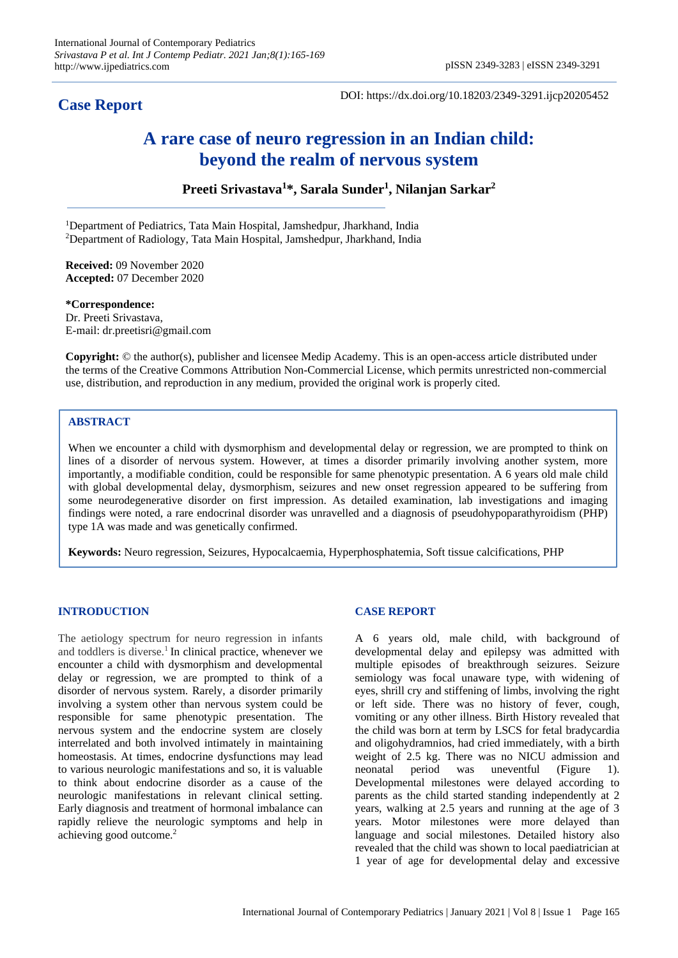# **Case Report**

DOI: https://dx.doi.org/10.18203/2349-3291.ijcp20205452

# **A rare case of neuro regression in an Indian child: beyond the realm of nervous system**

**Preeti Srivastava<sup>1</sup>\*, Sarala Sunder<sup>1</sup> , Nilanjan Sarkar<sup>2</sup>**

<sup>1</sup>Department of Pediatrics, Tata Main Hospital, Jamshedpur, Jharkhand, India <sup>2</sup>Department of Radiology, Tata Main Hospital, Jamshedpur, Jharkhand, India

**Received:** 09 November 2020 **Accepted:** 07 December 2020

**\*Correspondence:** Dr. Preeti Srivastava, E-mail: dr.preetisri@gmail.com

**Copyright:** © the author(s), publisher and licensee Medip Academy. This is an open-access article distributed under the terms of the Creative Commons Attribution Non-Commercial License, which permits unrestricted non-commercial use, distribution, and reproduction in any medium, provided the original work is properly cited.

# **ABSTRACT**

When we encounter a child with dysmorphism and developmental delay or regression, we are prompted to think on lines of a disorder of nervous system. However, at times a disorder primarily involving another system, more importantly, a modifiable condition, could be responsible for same phenotypic presentation. A 6 years old male child with global developmental delay, dysmorphism, seizures and new onset regression appeared to be suffering from some neurodegenerative disorder on first impression. As detailed examination, lab investigations and imaging findings were noted, a rare endocrinal disorder was unravelled and a diagnosis of pseudohypoparathyroidism (PHP) type 1A was made and was genetically confirmed.

**Keywords:** Neuro regression, Seizures, Hypocalcaemia, Hyperphosphatemia, Soft tissue calcifications, PHP

#### **INTRODUCTION**

The aetiology spectrum for neuro regression in infants and toddlers is diverse.<sup>1</sup> In clinical practice, whenever we encounter a child with dysmorphism and developmental delay or regression, we are prompted to think of a disorder of nervous system. Rarely, a disorder primarily involving a system other than nervous system could be responsible for same phenotypic presentation. The nervous system and the endocrine system are closely interrelated and both involved intimately in maintaining homeostasis. At times, endocrine dysfunctions may lead to various neurologic manifestations and so, it is valuable to think about endocrine disorder as a cause of the neurologic manifestations in relevant clinical setting. Early diagnosis and treatment of hormonal imbalance can rapidly relieve the neurologic symptoms and help in achieving good outcome.<sup>2</sup>

# **CASE REPORT**

A 6 years old, male child, with background of developmental delay and epilepsy was admitted with multiple episodes of breakthrough seizures. Seizure semiology was focal unaware type, with widening of eyes, shrill cry and stiffening of limbs, involving the right or left side. There was no history of fever, cough, vomiting or any other illness. Birth History revealed that the child was born at term by LSCS for fetal bradycardia and oligohydramnios, had cried immediately, with a birth weight of 2.5 kg. There was no NICU admission and neonatal period was uneventful (Figure 1). Developmental milestones were delayed according to parents as the child started standing independently at 2 years, walking at 2.5 years and running at the age of 3 years. Motor milestones were more delayed than language and social milestones. Detailed history also revealed that the child was shown to local paediatrician at 1 year of age for developmental delay and excessive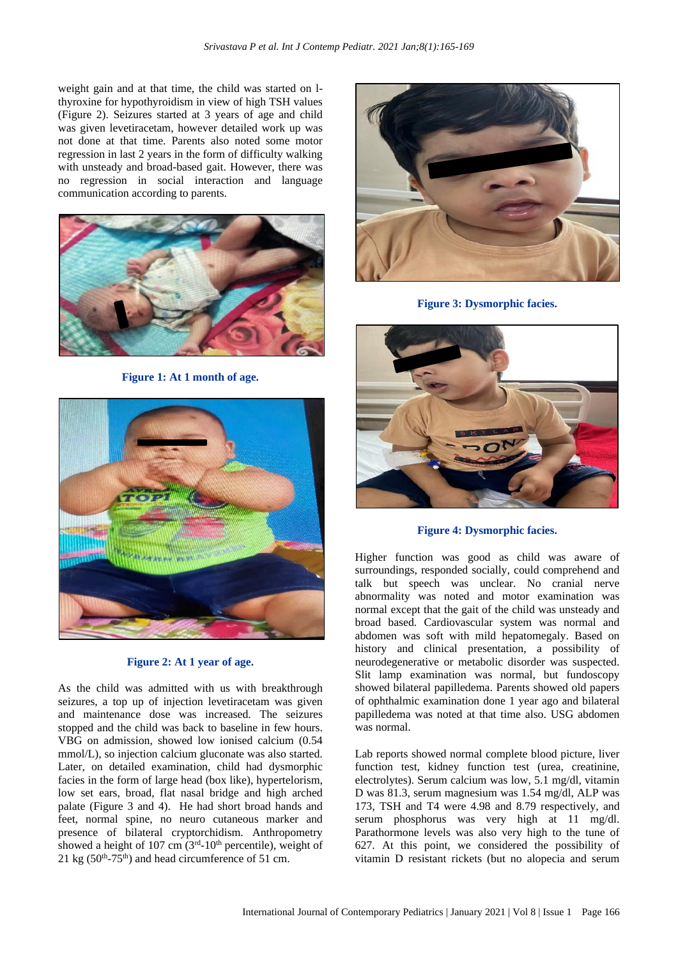weight gain and at that time, the child was started on lthyroxine for hypothyroidism in view of high TSH values (Figure 2). Seizures started at 3 years of age and child was given levetiracetam, however detailed work up was not done at that time. Parents also noted some motor regression in last 2 years in the form of difficulty walking with unsteady and broad-based gait. However, there was no regression in social interaction and language communication according to parents.



**Figure 1: At 1 month of age.**



### **Figure 2: At 1 year of age.**

As the child was admitted with us with breakthrough seizures, a top up of injection levetiracetam was given and maintenance dose was increased. The seizures stopped and the child was back to baseline in few hours. VBG on admission, showed low ionised calcium (0.54 mmol/L), so injection calcium gluconate was also started. Later, on detailed examination, child had dysmorphic facies in the form of large head (box like), hypertelorism, low set ears, broad, flat nasal bridge and high arched palate (Figure 3 and 4). He had short broad hands and feet, normal spine, no neuro cutaneous marker and presence of bilateral cryptorchidism. Anthropometry showed a height of 107 cm  $(3<sup>rd</sup>-10<sup>th</sup>$  percentile), weight of  $21 \text{ kg}$  (50<sup>th</sup>-75<sup>th</sup>) and head circumference of 51 cm.



**Figure 3: Dysmorphic facies.**



**Figure 4: Dysmorphic facies.**

Higher function was good as child was aware of surroundings, responded socially, could comprehend and talk but speech was unclear. No cranial nerve abnormality was noted and motor examination was normal except that the gait of the child was unsteady and broad based. Cardiovascular system was normal and abdomen was soft with mild hepatomegaly. Based on history and clinical presentation, a possibility of neurodegenerative or metabolic disorder was suspected. Slit lamp examination was normal, but fundoscopy showed bilateral papilledema. Parents showed old papers of ophthalmic examination done 1 year ago and bilateral papilledema was noted at that time also. USG abdomen was normal.

Lab reports showed normal complete blood picture, liver function test, kidney function test (urea, creatinine, electrolytes). Serum calcium was low, 5.1 mg/dl, vitamin D was 81.3, serum magnesium was 1.54 mg/dl, ALP was 173, TSH and T4 were 4.98 and 8.79 respectively, and serum phosphorus was very high at 11 mg/dl. Parathormone levels was also very high to the tune of 627. At this point, we considered the possibility of vitamin D resistant rickets (but no alopecia and serum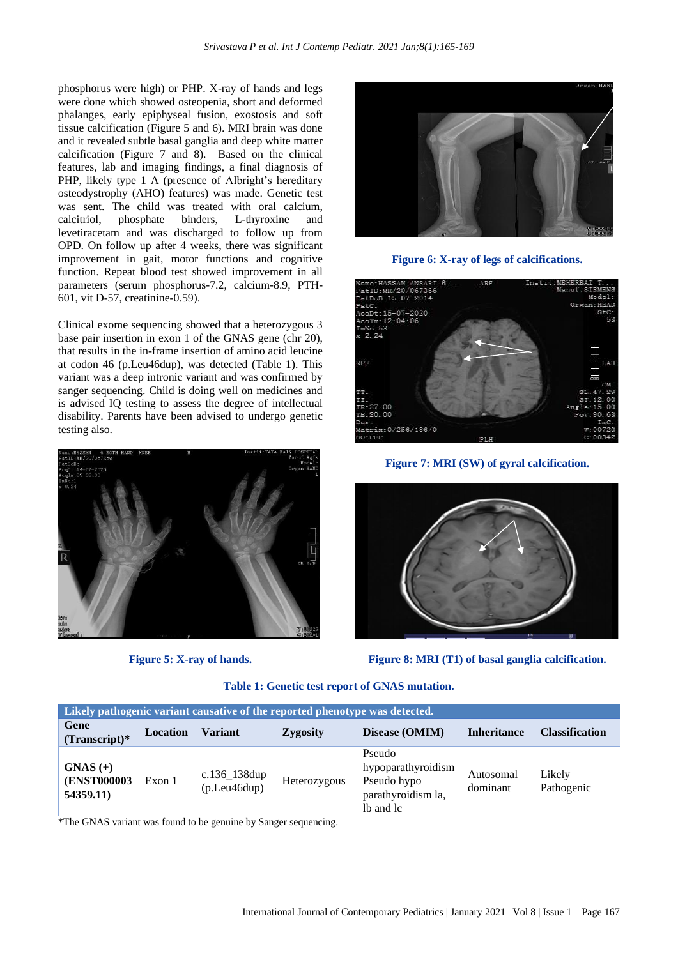phosphorus were high) or PHP. X-ray of hands and legs were done which showed osteopenia, short and deformed phalanges, early epiphyseal fusion, exostosis and soft tissue calcification (Figure 5 and 6). MRI brain was done and it revealed subtle basal ganglia and deep white matter calcification (Figure 7 and 8). Based on the clinical features, lab and imaging findings, a final diagnosis of PHP, likely type 1 A (presence of Albright's hereditary osteodystrophy (AHO) features) was made. Genetic test was sent. The child was treated with oral calcium, calcitriol, phosphate binders, L-thyroxine and levetiracetam and was discharged to follow up from OPD. On follow up after 4 weeks, there was significant improvement in gait, motor functions and cognitive function. Repeat blood test showed improvement in all parameters (serum phosphorus-7.2, calcium-8.9, PTH-601, vit D-57, creatinine-0.59).

Clinical exome sequencing showed that a heterozygous 3 base pair insertion in exon 1 of the GNAS gene (chr 20), that results in the in-frame insertion of amino acid leucine at codon 46 (p.Leu46dup), was detected (Table 1). This variant was a deep intronic variant and was confirmed by sanger sequencing. Child is doing well on medicines and is advised IQ testing to assess the degree of intellectual disability. Parents have been advised to undergo genetic testing also.



**Figure 5: X-ray of hands.**



**Figure 6: X-ray of legs of calcifications.**



**Figure 7: MRI (SW) of gyral calcification.**



**Figure 8: MRI (T1) of basal ganglia calcification.**

**Table 1: Genetic test report of GNAS mutation.**

| Likely pathogenic variant causative of the reported phenotype was detected. |                 |                                |                 |                                                                                |                       |                       |
|-----------------------------------------------------------------------------|-----------------|--------------------------------|-----------------|--------------------------------------------------------------------------------|-----------------------|-----------------------|
| Gene<br>$(Transcript)*$                                                     | <b>Location</b> | Variant                        | <b>Zygosity</b> | Disease (OMIM)                                                                 | <b>Inheritance</b>    | <b>Classification</b> |
| $GNAS (+)$<br><b>(ENST000003)</b><br>54359.11)                              | Exon 1          | $c.136_138dup$<br>(p.Leu46dup) | Heterozygous    | Pseudo<br>hypoparathyroidism<br>Pseudo hypo<br>parathyroidism la,<br>lb and lc | Autosomal<br>dominant | Likely<br>Pathogenic  |

\*The GNAS variant was found to be genuine by Sanger sequencing.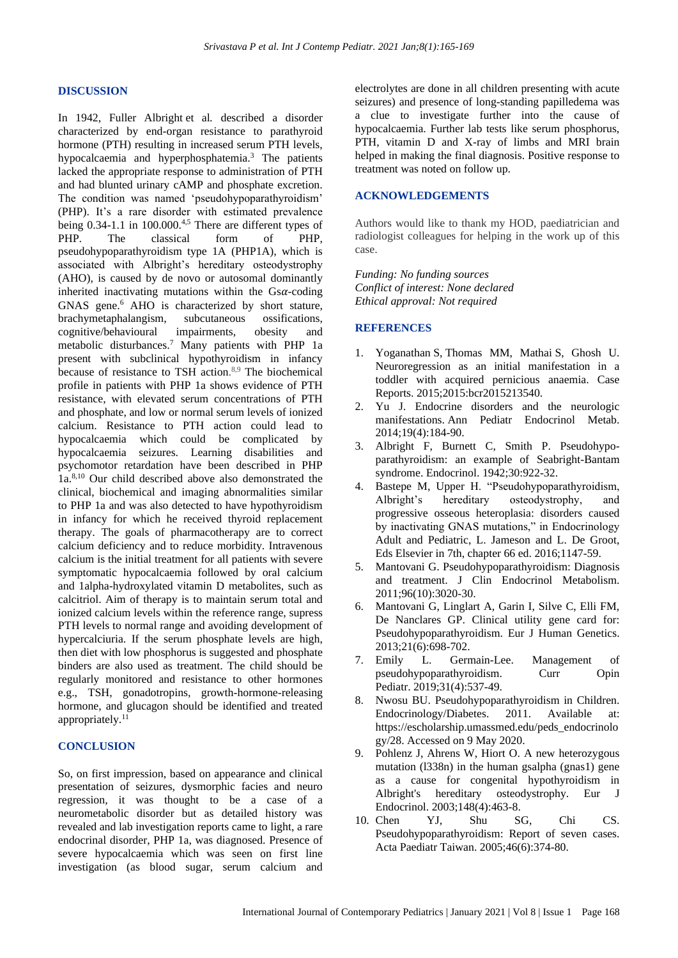#### **DISCUSSION**

In 1942, Fuller Albright et al*.* described a disorder characterized by end-organ resistance to parathyroid hormone (PTH) resulting in increased serum PTH levels, hypocalcaemia and hyperphosphatemia.<sup>3</sup> The patients lacked the appropriate response to administration of PTH and had blunted urinary cAMP and phosphate excretion. The condition was named 'pseudohypoparathyroidism' (PHP). It's a rare disorder with estimated prevalence being  $0.34$ -1.1 in  $100.000$ .<sup>4,5</sup> There are different types of PHP. The classical form of PHP, pseudohypoparathyroidism type 1A (PHP1A), which is associated with Albright's hereditary osteodystrophy (AHO), is caused by de novo or autosomal dominantly inherited inactivating mutations within the  $\text{Gs}\alpha\text{-coding}$ GNAS gene.<sup>6</sup> AHO is characterized by short stature, brachymetaphalangism, subcutaneous ossifications, cognitive/behavioural impairments, obesity and metabolic disturbances. <sup>7</sup> Many patients with PHP 1a present with subclinical hypothyroidism in infancy because of resistance to TSH action. 8,9 The biochemical profile in patients with PHP 1a shows evidence of PTH resistance, with elevated serum concentrations of PTH and phosphate, and low or normal serum levels of ionized calcium. Resistance to PTH action could lead to hypocalcaemia which could be complicated by hypocalcaemia seizures. Learning disabilities and psychomotor retardation have been described in PHP 1a.8,10 Our child described above also demonstrated the clinical, biochemical and imaging abnormalities similar to PHP 1a and was also detected to have hypothyroidism in infancy for which he received thyroid replacement therapy. The goals of pharmacotherapy are to correct calcium deficiency and to reduce morbidity. Intravenous calcium is the initial treatment for all patients with severe symptomatic hypocalcaemia followed by oral calcium and 1alpha-hydroxylated vitamin D metabolites, such as calcitriol. Aim of therapy is to maintain serum total and ionized calcium levels within the reference range, supress PTH levels to normal range and avoiding development of hypercalciuria. If the serum phosphate levels are high, then diet with low phosphorus is suggested and phosphate binders are also used as treatment. The child should be regularly monitored and resistance to other hormones e.g., TSH, gonadotropins, growth-hormone-releasing hormone, and glucagon should be identified and treated appropriately.<sup>11</sup>

#### **CONCLUSION**

So, on first impression, based on appearance and clinical presentation of seizures, dysmorphic facies and neuro regression, it was thought to be a case of a neurometabolic disorder but as detailed history was revealed and lab investigation reports came to light, a rare endocrinal disorder, PHP 1a, was diagnosed. Presence of severe hypocalcaemia which was seen on first line investigation (as blood sugar, serum calcium and electrolytes are done in all children presenting with acute seizures) and presence of long-standing papilledema was a clue to investigate further into the cause of hypocalcaemia. Further lab tests like serum phosphorus, PTH, vitamin D and X-ray of limbs and MRI brain helped in making the final diagnosis. Positive response to treatment was noted on follow up.

## **ACKNOWLEDGEMENTS**

Authors would like to thank my HOD, paediatrician and radiologist colleagues for helping in the work up of this case.

*Funding: No funding sources Conflict of interest: None declared Ethical approval: Not required*

#### **REFERENCES**

- 1. Yoganathan S, Thomas MM, Mathai S, Ghosh U. Neuroregression as an initial manifestation in a toddler with acquired pernicious anaemia. Case Reports. 2015;2015:bcr2015213540.
- 2. Yu J. Endocrine disorders and the neurologic manifestations. Ann Pediatr Endocrinol Metab. 2014;19(4):184-90.
- 3. Albright F, Burnett C, Smith P. Pseudohypoparathyroidism: an example of Seabright-Bantam syndrome. Endocrinol. 1942;30:922-32.
- 4. Bastepe M, Upper H. "Pseudohypoparathyroidism,<br>Albright's hereditary osteodystrophy, and hereditary osteodystrophy, and progressive osseous heteroplasia: disorders caused by inactivating GNAS mutations," in Endocrinology Adult and Pediatric, L. Jameson and L. De Groot, Eds Elsevier in 7th, chapter 66 ed. 2016;1147-59.
- 5. Mantovani G. Pseudohypoparathyroidism: Diagnosis and treatment. J Clin Endocrinol Metabolism. 2011;96(10):3020-30.
- 6. Mantovani G, Linglart A, Garin I, Silve C, Elli FM, De Nanclares GP. Clinical utility gene card for: Pseudohypoparathyroidism. Eur J Human Genetics. 2013;21(6):698-702.
- 7. Emily L. Germain-Lee. Management of pseudohypoparathyroidism. Curr Opin Pediatr. 2019;31(4):537-49.
- 8. Nwosu BU. Pseudohypoparathyroidism in Children. Endocrinology/Diabetes. 2011. Available at: https://escholarship.umassmed.edu/peds\_endocrinolo gy/28. Accessed on 9 May 2020.
- 9. Pohlenz J, Ahrens W, Hiort O. A new heterozygous mutation (l338n) in the human gsalpha (gnas1) gene as a cause for congenital hypothyroidism in Albright's hereditary osteodystrophy. Eur J Endocrinol. 2003;148(4):463-8.
- 10. Chen YJ, Shu SG, Chi CS. Pseudohypoparathyroidism: Report of seven cases. Acta Paediatr Taiwan. 2005;46(6):374-80.